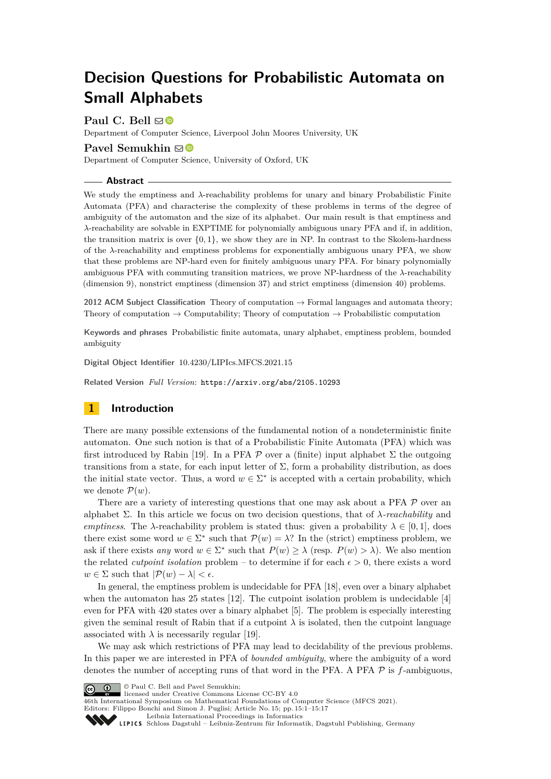# **Decision Questions for Probabilistic Automata on Small Alphabets**

Paul C. Bell  $\boxdot$ 

Department of Computer Science, Liverpool John Moores University, UK

# **Pavel Semukhin**  $\boxtimes$

Department of Computer Science, University of Oxford, UK

## **Abstract**

We study the emptiness and *λ*-reachability problems for unary and binary Probabilistic Finite Automata (PFA) and characterise the complexity of these problems in terms of the degree of ambiguity of the automaton and the size of its alphabet. Our main result is that emptiness and *λ*-reachability are solvable in EXPTIME for polynomially ambiguous unary PFA and if, in addition, the transition matrix is over  $\{0, 1\}$ , we show they are in NP. In contrast to the Skolem-hardness of the *λ*-reachability and emptiness problems for exponentially ambiguous unary PFA, we show that these problems are NP-hard even for finitely ambiguous unary PFA. For binary polynomially ambiguous PFA with commuting transition matrices, we prove NP-hardness of the *λ*-reachability (dimension 9), nonstrict emptiness (dimension 37) and strict emptiness (dimension 40) problems.

**2012 ACM Subject Classification** Theory of computation → Formal languages and automata theory; Theory of computation  $\rightarrow$  Computability; Theory of computation  $\rightarrow$  Probabilistic computation

**Keywords and phrases** Probabilistic finite automata, unary alphabet, emptiness problem, bounded ambiguity

**Digital Object Identifier** [10.4230/LIPIcs.MFCS.2021.15](https://doi.org/10.4230/LIPIcs.MFCS.2021.15)

**Related Version** *Full Version*: <https://arxiv.org/abs/2105.10293>

# **1 Introduction**

There are many possible extensions of the fundamental notion of a nondeterministic finite automaton. One such notion is that of a Probabilistic Finite Automata (PFA) which was first introduced by Rabin [\[19\]](#page-15-0). In a PFA  $\mathcal P$  over a (finite) input alphabet  $\Sigma$  the outgoing transitions from a state, for each input letter of Σ, form a probability distribution, as does the initial state vector. Thus, a word  $w \in \Sigma^*$  is accepted with a certain probability, which we denote  $\mathcal{P}(w)$ .

There are a variety of interesting questions that one may ask about a PFA  $\mathcal P$  over an alphabet Σ. In this article we focus on two decision questions, that of *λ-reachability* and *emptiness*. The *λ*-reachability problem is stated thus: given a probability  $\lambda \in [0,1]$ , does there exist some word  $w \in \Sigma^*$  such that  $\mathcal{P}(w) = \lambda$ ? In the (strict) emptiness problem, we ask if there exists *any* word  $w \in \Sigma^*$  such that  $P(w) \geq \lambda$  (resp.  $P(w) > \lambda$ ). We also mention the related *cutpoint isolation* problem – to determine if for each  $\epsilon > 0$ , there exists a word  $w \in \Sigma$  such that  $|\mathcal{P}(w) - \lambda| < \epsilon$ .

In general, the emptiness problem is undecidable for PFA [\[18\]](#page-15-1), even over a binary alphabet when the automaton has 25 states [\[12\]](#page-15-2). The cutpoint isolation problem is undecidable [\[4\]](#page-15-3) even for PFA with 420 states over a binary alphabet [\[5\]](#page-15-4). The problem is especially interesting given the seminal result of Rabin that if a cutpoint  $\lambda$  is isolated, then the cutpoint language associated with  $\lambda$  is necessarily regular [\[19\]](#page-15-0).

We may ask which restrictions of PFA may lead to decidability of the previous problems. In this paper we are interested in PFA of *bounded ambiguity*, where the ambiguity of a word denotes the number of accepting runs of that word in the PFA. A PFA  $P$  is  $f$ -ambiguous,

© Paul C. Bell and Pavel Semukhin;  $\boxed{6}$  0

licensed under Creative Commons License CC-BY 4.0

46th International Symposium on Mathematical Foundations of Computer Science (MFCS 2021).

Editors: Filippo Bonchi and Simon J. Puglisi; Article No. 15; pp. 15:1–15:17 [Leibniz International Proceedings in Informatics](https://www.dagstuhl.de/lipics/)

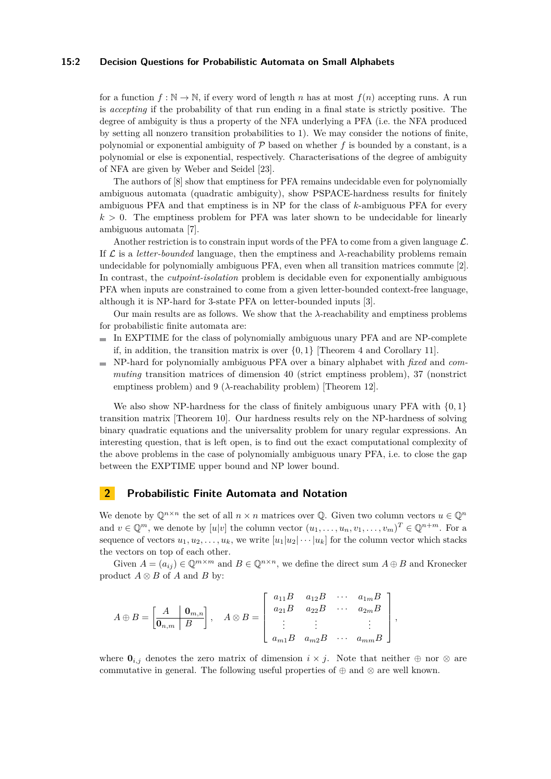## **15:2 Decision Questions for Probabilistic Automata on Small Alphabets**

for a function  $f : \mathbb{N} \to \mathbb{N}$ , if every word of length *n* has at most  $f(n)$  accepting runs. A run is *accepting* if the probability of that run ending in a final state is strictly positive. The degree of ambiguity is thus a property of the NFA underlying a PFA (i.e. the NFA produced by setting all nonzero transition probabilities to 1). We may consider the notions of finite, polynomial or exponential ambiguity of  $P$  based on whether  $f$  is bounded by a constant, is a polynomial or else is exponential, respectively. Characterisations of the degree of ambiguity of NFA are given by Weber and Seidel [\[23\]](#page-16-0).

The authors of [\[8\]](#page-15-5) show that emptiness for PFA remains undecidable even for polynomially ambiguous automata (quadratic ambiguity), show PSPACE-hardness results for finitely ambiguous PFA and that emptiness is in NP for the class of *k*-ambiguous PFA for every  $k > 0$ . The emptiness problem for PFA was later shown to be undecidable for linearly ambiguous automata [\[7\]](#page-15-6).

Another restriction is to constrain input words of the PFA to come from a given language  $\mathcal{L}$ . If  $\mathcal L$  is a *letter-bounded* language, then the emptiness and  $\lambda$ -reachability problems remain undecidable for polynomially ambiguous PFA, even when all transition matrices commute [\[2\]](#page-15-7). In contrast, the *cutpoint-isolation* problem is decidable even for exponentially ambiguous PFA when inputs are constrained to come from a given letter-bounded context-free language, although it is NP-hard for 3-state PFA on letter-bounded inputs [\[3\]](#page-15-8).

Our main results are as follows. We show that the *λ*-reachability and emptiness problems for probabilistic finite automata are:

- In EXPTIME for the class of polynomially ambiguous unary PFA and are NP-complete if, in addition, the transition matrix is over {0*,* 1} [Theorem [4](#page-3-0) and Corollary [11\]](#page-11-0).
- NP-hard for polynomially ambiguous PFA over a binary alphabet with *fixed* and *commuting* transition matrices of dimension 40 (strict emptiness problem), 37 (nonstrict emptiness problem) and  $9$  ( $\lambda$ -reachability problem) [Theorem [12\]](#page-11-1).

We also show NP-hardness for the class of finitely ambiguous unary PFA with {0*,* 1} transition matrix [Theorem [10\]](#page-10-0). Our hardness results rely on the NP-hardness of solving binary quadratic equations and the universality problem for unary regular expressions. An interesting question, that is left open, is to find out the exact computational complexity of the above problems in the case of polynomially ambiguous unary PFA, i.e. to close the gap between the EXPTIME upper bound and NP lower bound.

# **2 Probabilistic Finite Automata and Notation**

We denote by  $\mathbb{Q}^{n \times n}$  the set of all  $n \times n$  matrices over  $\mathbb{Q}$ . Given two column vectors  $u \in \mathbb{Q}^n$ and  $v \in \mathbb{Q}^m$ , we denote by  $[u|v]$  the column vector  $(u_1, \ldots, u_n, v_1, \ldots, v_m)^T \in \mathbb{Q}^{n+m}$ . For a sequence of vectors  $u_1, u_2, \ldots, u_k$ , we write  $[u_1|u_2|\cdots|u_k]$  for the column vector which stacks the vectors on top of each other.

Given  $A = (a_{ij}) \in \mathbb{Q}^{m \times m}$  and  $B \in \mathbb{Q}^{n \times n}$ , we define the direct sum  $A \oplus B$  and Kronecker product  $A \otimes B$  of  $A$  and  $B$  by:

$$
A \oplus B = \begin{bmatrix} A & \mathbf{0}_{m,n} \\ \hline \mathbf{0}_{n,m} & B \end{bmatrix}, \quad A \otimes B = \begin{bmatrix} a_{11}B & a_{12}B & \cdots & a_{1m}B \\ a_{21}B & a_{22}B & \cdots & a_{2m}B \\ \vdots & \vdots & & \vdots \\ a_{m1}B & a_{m2}B & \cdots & a_{mm}B \end{bmatrix},
$$

where  $\mathbf{0}_{i,j}$  denotes the zero matrix of dimension  $i \times j$ . Note that neither  $\oplus$  nor  $\otimes$  are commutative in general. The following useful properties of  $\oplus$  and  $\otimes$  are well known.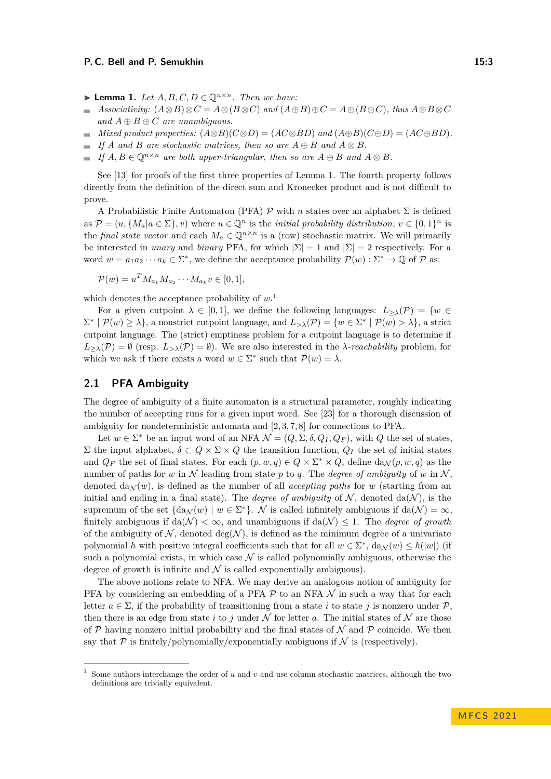- <span id="page-2-0"></span>▶ **Lemma 1.** *Let*  $A, B, C, D \in \mathbb{O}^{n \times n}$ *. Then we have:*
- *Associativity:*  $(A \otimes B) \otimes C = A \otimes (B \otimes C)$  *and*  $(A \oplus B) \oplus C = A \oplus (B \oplus C)$ *, thus*  $A \otimes B \otimes C$  $\rightarrow$ *and*  $A \oplus B \oplus C$  *are unambiguous.*
- *Mixed product properties:*  $(A \otimes B)(C \otimes D) = (AC \otimes BD)$  *and*  $(A \oplus B)(C \oplus D) = (AC \oplus BD)$ *.*
- *If A* and *B* are stochastic matrices, then so are  $A \oplus B$  and  $A \otimes B$ .  $\sim$
- *If*  $A, B \in \mathbb{Q}^{n \times n}$  *are both upper-triangular, then so are*  $A \oplus B$  *and*  $A \otimes B$ *.*  $\sim$

See [\[13\]](#page-15-9) for proofs of the first three properties of Lemma [1.](#page-2-0) The fourth property follows directly from the definition of the direct sum and Kronecker product and is not difficult to prove.

A Probabilistic Finite Automaton (PFA) P with *n* states over an alphabet Σ is defined as  $\mathcal{P} = (u, \{M_a | a \in \Sigma\}, v)$  where  $u \in \mathbb{Q}^n$  is the *initial probability distribution*;  $v \in \{0, 1\}^n$  is the *final state vector* and each  $M_a \in \mathbb{Q}^{n \times n}$  is a (row) stochastic matrix. We will primarily be interested in *unary* and *binary* PFA, for which  $|\Sigma| = 1$  and  $|\Sigma| = 2$  respectively. For a word  $w = a_1 a_2 \cdots a_k \in \Sigma^*$ , we define the acceptance probability  $\mathcal{P}(w) : \Sigma^* \to \mathbb{Q}$  of  $\mathcal{P}$  as:

$$
\mathcal{P}(w) = u^T M_{a_1} M_{a_2} \cdots M_{a_k} v \in [0,1],
$$

which denotes the acceptance probability of *w*. [1](#page-2-1)

For a given cutpoint  $\lambda \in [0,1]$ , we define the following languages:  $L_{\geq \lambda}(\mathcal{P}) = \{w \in$  $\Sigma^*$  |  $\mathcal{P}(w) \geq \lambda$ , a nonstrict cutpoint language, and  $L_{>\lambda}(\mathcal{P}) = \{w \in \Sigma^* \mid \mathcal{P}(w) > \lambda\}$ , a strict cutpoint language. The (strict) emptiness problem for a cutpoint language is to determine if  $L_{\geq \lambda}(\mathcal{P}) = \emptyset$  (resp.  $L_{\geq \lambda}(\mathcal{P}) = \emptyset$ ). We are also interested in the *λ-reachability* problem, for which we ask if there exists a word  $w \in \Sigma^*$  such that  $\mathcal{P}(w) = \lambda$ .

# <span id="page-2-2"></span>**2.1 PFA Ambiguity**

The degree of ambiguity of a finite automaton is a structural parameter, roughly indicating the number of accepting runs for a given input word. See [\[23\]](#page-16-0) for a thorough discussion of ambiguity for nondeterministic automata and [\[2,](#page-15-7) [3,](#page-15-8) [7,](#page-15-6) [8\]](#page-15-5) for connections to PFA.

Let  $w \in \Sigma^*$  be an input word of an NFA  $\mathcal{N} = (Q, \Sigma, \delta, Q_I, Q_F)$ , with  $Q$  the set of states, Σ the input alphabet, *δ* ⊂ *Q* × Σ × *Q* the transition function, *Q<sup>I</sup>* the set of initial states and  $Q_F$  the set of final states. For each  $(p, w, q) \in Q \times \Sigma^* \times Q$ , define  $da_{\mathcal{N}}(p, w, q)$  as the number of paths for *w* in N leading from state p to q. The *degree of ambiguity* of *w* in N, denoted  $d\mathbf{a}_{\mathcal{N}}(w)$ , is defined as the number of all *accepting paths* for *w* (starting from an initial and ending in a final state). The *degree of ambiguity* of  $N$ , denoted  $da(N)$ , is the supremum of the set  $\{da_{\mathcal{N}}(w) \mid w \in \Sigma^*\}$ . N is called infinitely ambiguous if  $da(\mathcal{N}) = \infty$ , finitely ambiguous if  $da(\mathcal{N}) < \infty$ , and unambiguous if  $da(\mathcal{N}) < 1$ . The *degree of growth* of the ambiguity of  $\mathcal{N}$ , denoted deg( $\mathcal{N}$ ), is defined as the minimum degree of a univariate polynomial *h* with positive integral coefficients such that for all  $w \in \Sigma^*$ ,  $da_{\mathcal{N}}(w) \leq h(|w|)$  (if such a polynomial exists, in which case  $\mathcal N$  is called polynomially ambiguous, otherwise the degree of growth is infinite and  $\mathcal N$  is called exponentially ambiguous).

The above notions relate to NFA. We may derive an analogous notion of ambiguity for PFA by considering an embedding of a PFA  $\mathcal P$  to an NFA  $\mathcal N$  in such a way that for each letter  $a \in \Sigma$ , if the probability of transitioning from a state *i* to state *j* is nonzero under P, then there is an edge from state *i* to *j* under  $N$  for letter *a*. The initial states of  $N$  are those of  $P$  having nonzero initial probability and the final states of  $N$  and  $P$  coincide. We then say that  $P$  is finitely/polynomially/exponentially ambiguous if N is (respectively).

<span id="page-2-1"></span><sup>1</sup> Some authors interchange the order of *u* and *v* and use column stochastic matrices, although the two definitions are trivially equivalent.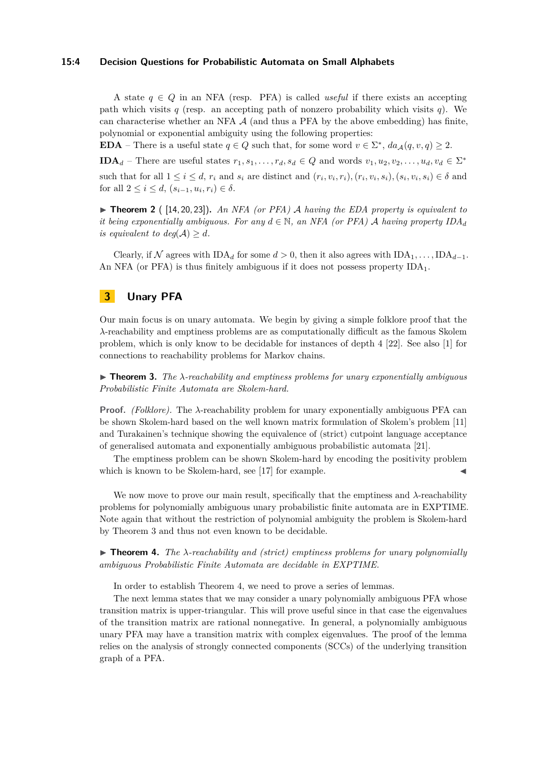#### **15:4 Decision Questions for Probabilistic Automata on Small Alphabets**

A state  $q \in Q$  in an NFA (resp. PFA) is called *useful* if there exists an accepting path which visits  $q$  (resp. an accepting path of nonzero probability which visits  $q$ ). We can characterise whether an NFA  $\mathcal A$  (and thus a PFA by the above embedding) has finite, polynomial or exponential ambiguity using the following properties:

**EDA** – There is a useful state  $q \in Q$  such that, for some word  $v \in \Sigma^*$ ,  $da_{\mathcal{A}}(q, v, q) \geq 2$ .

**IDA**<sup>*d*</sup> – There are useful states  $r_1, s_1, \ldots, r_d, s_d \in Q$  and words  $v_1, u_2, v_2, \ldots, u_d, v_d \in \Sigma^*$ 

such that for all  $1 \leq i \leq d$ ,  $r_i$  and  $s_i$  are distinct and  $(r_i, v_i, r_i)$ ,  $(r_i, v_i, s_i)$ ,  $(s_i, v_i, s_i) \in \delta$  and for all  $2 \le i \le d$ ,  $(s_{i-1}, u_i, r_i) \in δ$ .

▶ **Theorem 2** ( [\[14,](#page-15-10) [20,](#page-16-1) [23\]](#page-16-0))**.** *An NFA (or PFA)* A *having the EDA property is equivalent to it being exponentially ambiguous. For any*  $d \in \mathbb{N}$ , an NFA (or PFA) A having property  $IDA_d$ *is equivalent to deg*( $A$ )  $\geq d$ *.* 

Clearly, if N agrees with  $IDA_d$  for some  $d > 0$ , then it also agrees with  $IDA_1, \ldots, IDA_{d-1}$ . An NFA (or PFA) is thus finitely ambiguous if it does not possess property  $IDA<sub>1</sub>$ .

# **3 Unary PFA**

Our main focus is on unary automata. We begin by giving a simple folklore proof that the *λ*-reachability and emptiness problems are as computationally difficult as the famous Skolem problem, which is only know to be decidable for instances of depth 4 [\[22\]](#page-16-2). See also [\[1\]](#page-15-11) for connections to reachability problems for Markov chains.

<span id="page-3-1"></span>▶ **Theorem 3.** *The λ-reachability and emptiness problems for unary exponentially ambiguous Probabilistic Finite Automata are Skolem-hard.*

**Proof.** *(Folklore).* The *λ*-reachability problem for unary exponentially ambiguous PFA can be shown Skolem-hard based on the well known matrix formulation of Skolem's problem [\[11\]](#page-15-12) and Turakainen's technique showing the equivalence of (strict) cutpoint language acceptance of generalised automata and exponentially ambiguous probabilistic automata [\[21\]](#page-16-3).

The emptiness problem can be shown Skolem-hard by encoding the positivity problem which is known to be Skolem-hard, see  $[17]$  for example.

We now move to prove our main result, specifically that the emptiness and *λ*-reachability problems for polynomially ambiguous unary probabilistic finite automata are in EXPTIME. Note again that without the restriction of polynomial ambiguity the problem is Skolem-hard by Theorem [3](#page-3-1) and thus not even known to be decidable.

<span id="page-3-0"></span>▶ **Theorem 4.** *The λ-reachability and (strict) emptiness problems for unary polynomially ambiguous Probabilistic Finite Automata are decidable in EXPTIME.*

In order to establish Theorem [4,](#page-3-0) we need to prove a series of lemmas.

The next lemma states that we may consider a unary polynomially ambiguous PFA whose transition matrix is upper-triangular. This will prove useful since in that case the eigenvalues of the transition matrix are rational nonnegative. In general, a polynomially ambiguous unary PFA may have a transition matrix with complex eigenvalues. The proof of the lemma relies on the analysis of strongly connected components (SCCs) of the underlying transition graph of a PFA.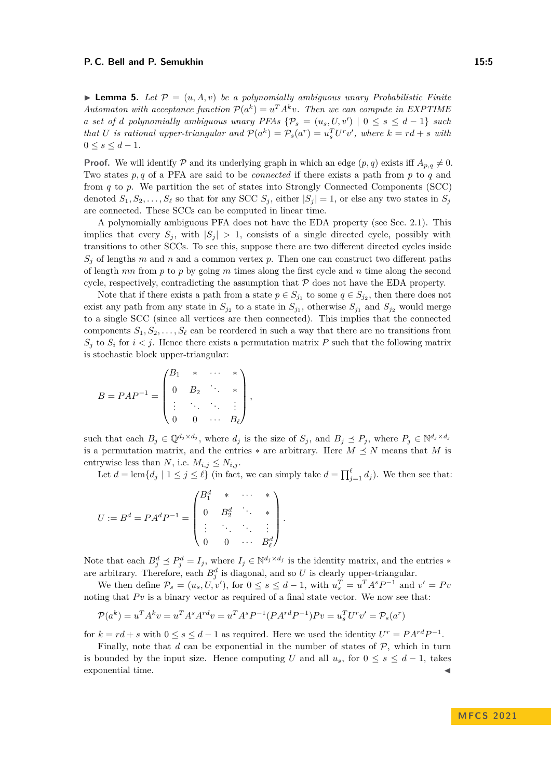<span id="page-4-0"></span> $\blacktriangleright$  **Lemma 5.** Let  $\mathcal{P} = (u, A, v)$  be a polynomially ambiguous unary Probabilistic Finite *Automaton with acceptance function*  $P(a^k) = u^T A^k v$ . Then we can compute in EXPTIME *a set of d polynomially ambiguous unary PFAs*  $\{\mathcal{P}_s = (u_s, U, v') \mid 0 \le s \le d - 1\}$  *such* that U is rational upper-triangular and  $P(a^k) = P_s(a^r) = u_s^T U^r v'$ , where  $k = rd + s$  with  $0 \le s \le d - 1$ .

**Proof.** We will identify  $\mathcal{P}$  and its underlying graph in which an edge  $(p,q)$  exists iff  $A_{p,q} \neq 0$ . Two states *p, q* of a PFA are said to be *connected* if there exists a path from *p* to *q* and from *q* to *p*. We partition the set of states into Strongly Connected Components (SCC) denoted  $S_1, S_2, \ldots, S_\ell$  so that for any SCC  $S_i$ , either  $|S_i| = 1$ , or else any two states in  $S_i$ are connected. These SCCs can be computed in linear time.

A polynomially ambiguous PFA does not have the EDA property (see Sec. [2.1\)](#page-2-2). This implies that every  $S_j$ , with  $|S_j| > 1$ , consists of a single directed cycle, possibly with transitions to other SCCs. To see this, suppose there are two different directed cycles inside  $S_i$  of lengths *m* and *n* and a common vertex *p*. Then one can construct two different paths of length *mn* from *p* to *p* by going *m* times along the first cycle and *n* time along the second cycle, respectively, contradicting the assumption that  $P$  does not have the EDA property.

Note that if there exists a path from a state  $p \in S_{j_1}$  to some  $q \in S_{j_2}$ , then there does not exist any path from any state in  $S_{j_2}$  to a state in  $S_{j_1}$ , otherwise  $S_{j_1}$  and  $S_{j_2}$  would merge to a single SCC (since all vertices are then connected). This implies that the connected components  $S_1, S_2, \ldots, S_\ell$  can be reordered in such a way that there are no transitions from  $S_i$  to  $S_i$  for  $i < j$ . Hence there exists a permutation matrix *P* such that the following matrix is stochastic block upper-triangular:

$$
B = PAP^{-1} = \begin{pmatrix} B_1 & * & \cdots & * \\ 0 & B_2 & \ddots & * \\ \vdots & \ddots & \ddots & \vdots \\ 0 & 0 & \cdots & B_\ell \end{pmatrix},
$$

such that each  $B_j \in \mathbb{Q}^{d_j \times d_j}$ , where  $d_j$  is the size of  $S_j$ , and  $B_j \preceq P_j$ , where  $P_j \in \mathbb{N}^{d_j \times d_j}$ is a permutation matrix, and the entries  $*$  are arbitrary. Here  $M \preceq N$  means that  $M$  is entrywise less than *N*, i.e.  $M_{i,j} \leq N_{i,j}$ .

Let  $d = \text{lcm}\{d_j \mid 1 \leq j \leq \ell\}$  (in fact, we can simply take  $d = \prod_{j=1}^{\ell} d_j$ ). We then see that:

$$
U := B^d = P A^d P^{-1} = \begin{pmatrix} B_1^d & * & \cdots & * \\ 0 & B_2^d & \ddots & * \\ \vdots & \ddots & \ddots & \vdots \\ 0 & 0 & \cdots & B_\ell^d \end{pmatrix}.
$$

Note that each  $B_j^d \le P_j^d = I_j$ , where  $I_j \in \mathbb{N}^{d_j \times d_j}$  is the identity matrix, and the entries  $*$ are arbitrary. Therefore, each  $B_j^d$  is diagonal, and so U is clearly upper-triangular.

We then define  $\mathcal{P}_s = (u_s, U, v')$ , for  $0 \le s \le d - 1$ , with  $u_s^T = u^T A^s P^{-1}$  and  $v' = Pv$ noting that  $P<sub>v</sub>$  is a binary vector as required of a final state vector. We now see that:

$$
\mathcal{P}(a^k) = u^T A^k v = u^T A^s A^{rd} v = u^T A^s P^{-1} (P A^{rd} P^{-1}) P v = u_s^T U^r v' = \mathcal{P}_s(a^r)
$$

for  $k = rd + s$  with  $0 \leq s \leq d - 1$  as required. Here we used the identity  $U^r = P A^{rd} P^{-1}$ .

Finally, note that *d* can be exponential in the number of states of  $P$ , which in turn is bounded by the input size. Hence computing *U* and all  $u_s$ , for  $0 \le s \le d-1$ , takes exponential time.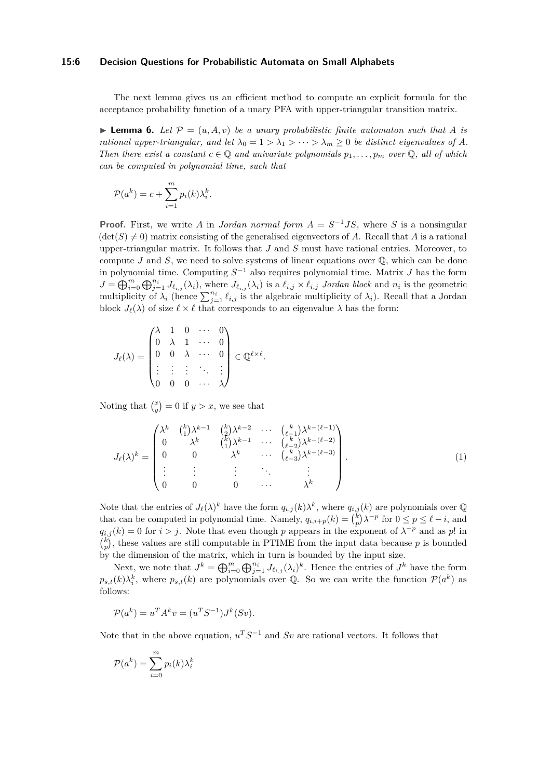### **15:6 Decision Questions for Probabilistic Automata on Small Alphabets**

The next lemma gives us an efficient method to compute an explicit formula for the acceptance probability function of a unary PFA with upper-triangular transition matrix.

<span id="page-5-1"></span> $\blacktriangleright$  **Lemma 6.** Let  $\mathcal{P} = (u, A, v)$  be a unary probabilistic finite automaton such that A is *rational upper-triangular, and let*  $\lambda_0 = 1 > \lambda_1 > \cdots > \lambda_m \geq 0$  *be distinct eigenvalues of A. Then there exist a constant*  $c \in \mathbb{Q}$  *and univariate polynomials*  $p_1, \ldots, p_m$  *over*  $\mathbb{Q}$ *, all of which can be computed in polynomial time, such that*

$$
\mathcal{P}(a^k) = c + \sum_{i=1}^m p_i(k)\lambda_i^k.
$$

**Proof.** First, we write *A* in *Jordan normal form*  $A = S^{-1}JS$ , where *S* is a nonsingular  $(\det(S) \neq 0)$  matrix consisting of the generalised eigenvectors of *A*. Recall that *A* is a rational upper-triangular matrix. It follows that *J* and *S* must have rational entries. Moreover, to compute  $J$  and  $S$ , we need to solve systems of linear equations over  $\mathbb{Q}$ , which can be done in polynomial time. Computing *S* <sup>−</sup><sup>1</sup> also requires polynomial time. Matrix *J* has the form  $J = \bigoplus_{i=0}^m \bigoplus_{j=1}^{n_i} J_{\ell_{i,j}}(\lambda_i)$ , where  $J_{\ell_{i,j}}(\lambda_i)$  is a  $\ell_{i,j} \times \ell_{i,j}$  Jordan block and  $n_i$  is the geometric multiplicity of  $\lambda_i$  (hence  $\sum_{j=1}^{n_i} \ell_{i,j}$  is the algebraic multiplicity of  $\lambda_i$ ). Recall that a Jordan block  $J_{\ell}(\lambda)$  of size  $\ell \times \ell$  that corresponds to an eigenvalue  $\lambda$  has the form:

$$
J_{\ell}(\lambda) = \begin{pmatrix} \lambda & 1 & 0 & \cdots & 0 \\ 0 & \lambda & 1 & \cdots & 0 \\ 0 & 0 & \lambda & \cdots & 0 \\ \vdots & \vdots & \vdots & \ddots & \vdots \\ 0 & 0 & 0 & \cdots & \lambda \end{pmatrix} \in \mathbb{Q}^{\ell \times \ell}.
$$

Noting that  $\binom{x}{y} = 0$  if  $y > x$ , we see that

<span id="page-5-0"></span>
$$
J_{\ell}(\lambda)^k = \begin{pmatrix} \lambda^k & \binom{k}{1} \lambda^{k-1} & \binom{k}{2} \lambda^{k-2} & \cdots & \binom{k}{\ell-1} \lambda^{k-(\ell-1)} \\ 0 & \lambda^k & \binom{k}{1} \lambda^{k-1} & \cdots & \binom{k}{\ell-2} \lambda^{k-(\ell-2)} \\ 0 & 0 & \lambda^k & \cdots & \binom{k}{\ell-3} \lambda^{k-(\ell-3)} \\ \vdots & \vdots & \vdots & \ddots & \vdots \\ 0 & 0 & 0 & \cdots & \lambda^k \end{pmatrix} . \tag{1}
$$

Note that the entries of  $J_{\ell}(\lambda)^k$  have the form  $q_{i,j}(k)\lambda^k$ , where  $q_{i,j}(k)$  are polynomials over Q that can be computed in polynomial time. Namely,  $q_{i,i+p}(k) = {k \choose p} \lambda^{-p}$  for  $0 \le p \le \ell - i$ , and  $q_{i,j}(k) = 0$  for  $i > j$ . Note that even though *p* appears in the exponent of  $\lambda^{-p}$  and as *p*! in  $\binom{k}{p}$ , these values are still computable in PTIME from the input data because *p* is bounded by the dimension of the matrix, which in turn is bounded by the input size.

Next, we note that  $J^k = \bigoplus_{i=0}^m \bigoplus_{j=1}^{n_i} J_{\ell_{i,j}}(\lambda_i)^k$ . Hence the entries of  $J^k$  have the form  $p_{s,t}(k)\lambda_i^k$ , where  $p_{s,t}(k)$  are polynomials over Q. So we can write the function  $\mathcal{P}(a^k)$  as follows:

$$
\mathcal{P}(a^k) = u^T A^k v = (u^T S^{-1}) J^k(Sv).
$$

Note that in the above equation,  $u^T S^{-1}$  and  $Sv$  are rational vectors. It follows that

$$
\mathcal{P}(a^k) = \sum_{i=0}^{m} p_i(k) \lambda_i^k
$$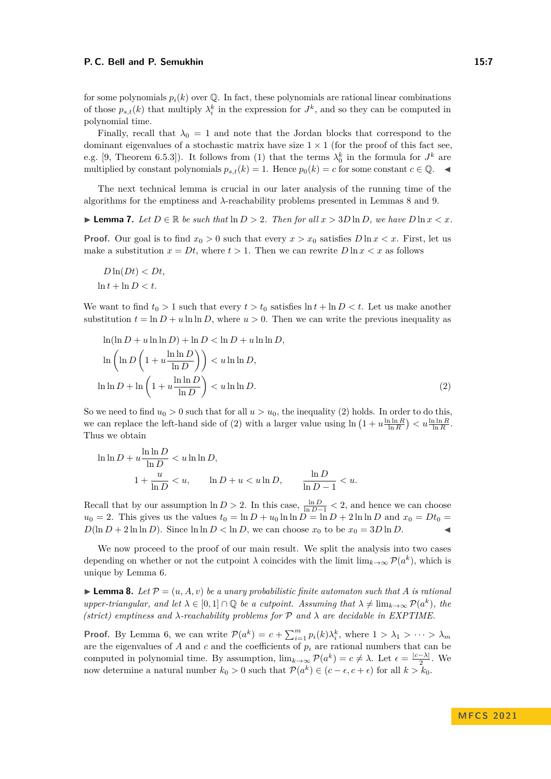for some polynomials  $p_i(k)$  over  $\mathbb Q$ . In fact, these polynomials are rational linear combinations of those  $p_{s,t}(k)$  that multiply  $\lambda_i^k$  in the expression for  $J^k$ , and so they can be computed in polynomial time.

Finally, recall that  $\lambda_0 = 1$  and note that the Jordan blocks that correspond to the dominant eigenvalues of a stochastic matrix have size  $1 \times 1$  (for the proof of this fact see, e.g. [\[9,](#page-15-14) Theorem 6.5.3]). It follows from [\(1\)](#page-5-0) that the terms  $\lambda_0^k$  in the formula for  $J^k$  are multiplied by constant polynomials  $p_{s,t}(k) = 1$ . Hence  $p_0(k) = c$  for some constant  $c \in \mathbb{Q}$ .

The next technical lemma is crucial in our later analysis of the running time of the algorithms for the emptiness and *λ*-reachability problems presented in Lemmas [8](#page-6-0) and [9.](#page-8-0)

<span id="page-6-2"></span>▶ **Lemma 7.** *Let*  $D \in \mathbb{R}$  *be such that*  $\ln D > 2$ *. Then for all*  $x > 3D \ln D$ *, we have*  $D \ln x < x$ *.* 

**Proof.** Our goal is to find  $x_0 > 0$  such that every  $x > x_0$  satisfies  $D \ln x < x$ . First, let us make a substitution  $x = Dt$ , where  $t > 1$ . Then we can rewrite  $D \ln x < x$  as follows

$$
D\ln(Dt) < Dt,
$$
\n
$$
\ln t + \ln D < t.
$$

We want to find  $t_0 > 1$  such that every  $t > t_0$  satisfies  $\ln t + \ln D < t$ . Let us make another substitution  $t = \ln D + u \ln \ln D$ , where  $u > 0$ . Then we can write the previous inequality as

<span id="page-6-1"></span>
$$
\ln(\ln D + u \ln \ln D) + \ln D < \ln D + u \ln \ln D, \\
\ln \left( \ln D \left( 1 + u \frac{\ln \ln D}{\ln D} \right) \right) < u \ln \ln D, \\
\ln \ln D + \ln \left( 1 + u \frac{\ln \ln D}{\ln D} \right) < u \ln \ln D. \tag{2}
$$

So we need to find  $u_0 > 0$  such that for all  $u > u_0$ , the inequality [\(2\)](#page-6-1) holds. In order to do this, we can replace the left-hand side of [\(2\)](#page-6-1) with a larger value using  $\ln (1 + u \frac{\ln \ln R}{\ln R}) < u \frac{\ln \ln R}{\ln R}$ . Thus we obtain

$$
\ln \ln D + u \frac{\ln \ln D}{\ln D} < u \ln \ln D,
$$
\n
$$
1 + \frac{u}{\ln D} < u, \qquad \ln D + u < u \ln D, \qquad \frac{\ln D}{\ln D - 1} < u.
$$

Recall that by our assumption  $\ln D > 2$ . In this case,  $\frac{\ln D}{\ln D - 1} < 2$ , and hence we can choose  $u_0 = 2$ . This gives us the values  $t_0 = \ln D + u_0 \ln \ln D = \ln D + 2 \ln \ln D$  and  $x_0 = Dt_0$  $D(\ln D + 2 \ln \ln D)$ . Since  $\ln \ln D < \ln D$ , we can choose  $x_0$  to be  $x_0 = 3D \ln D$ .

We now proceed to the proof of our main result. We split the analysis into two cases depending on whether or not the cutpoint  $\lambda$  coincides with the limit  $\lim_{k\to\infty} \mathcal{P}(a^k)$ , which is unique by Lemma [6.](#page-5-1)

<span id="page-6-0"></span> $\blacktriangleright$  **Lemma 8.** Let  $\mathcal{P} = (u, A, v)$  be a unary probabilistic finite automaton such that A is rational *upper-triangular, and let*  $\lambda \in [0,1] \cap \mathbb{Q}$  *be a cutpoint. Assuming that*  $\lambda \neq \lim_{k \to \infty} \mathcal{P}(a^k)$ *, the*  $(\text{strict})$  emptiness and  $\lambda$ -reachability problems for P and  $\lambda$  are decidable in EXPTIME.

**Proof.** By Lemma [6,](#page-5-1) we can write  $\mathcal{P}(a^k) = c + \sum_{i=1}^m p_i(k)\lambda_i^k$ , where  $1 > \lambda_1 > \cdots > \lambda_m$ are the eigenvalues of  $A$  and  $c$  and the coefficients of  $p_i$  are rational numbers that can be computed in polynomial time. By assumption,  $\lim_{k\to\infty} \mathcal{P}(a^k) = c \neq \lambda$ . Let  $\epsilon = \frac{|c-\lambda|}{2}$  $\frac{-\lambda|}{2}$ . We now determine a natural number  $k_0 > 0$  such that  $\mathcal{P}(a^k) \in (c - \epsilon, c + \epsilon)$  for all  $k > k_0$ .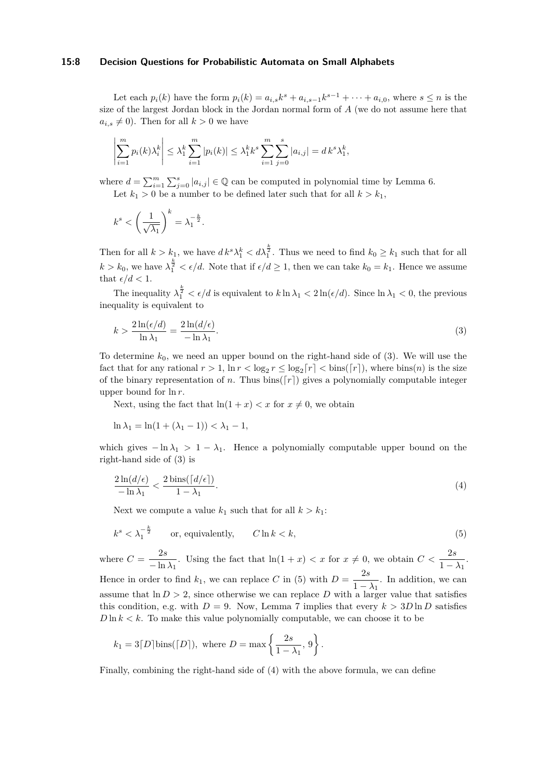## **15:8 Decision Questions for Probabilistic Automata on Small Alphabets**

Let each  $p_i(k)$  have the form  $p_i(k) = a_{i,s}k^s + a_{i,s-1}k^{s-1} + \cdots + a_{i,0}$ , where  $s \le n$  is the size of the largest Jordan block in the Jordan normal form of *A* (we do not assume here that  $a_{i,s} \neq 0$ ). Then for all  $k > 0$  we have

$$
\left| \sum_{i=1}^{m} p_i(k) \lambda_i^k \right| \leq \lambda_1^k \sum_{i=1}^{m} |p_i(k)| \leq \lambda_1^k k^s \sum_{i=1}^{m} \sum_{j=0}^{s} |a_{i,j}| = dk^s \lambda_1^k,
$$

where  $d = \sum_{i=1}^{m} \sum_{j=0}^{s} |a_{i,j}| \in \mathbb{Q}$  can be computed in polynomial time by Lemma [6.](#page-5-1) Let  $k_1 > 0$  be a number to be defined later such that for all  $k > k_1$ ,

$$
k^s < \left(\frac{1}{\sqrt{\lambda_1}}\right)^k = \lambda_1^{-\frac{k}{2}}.
$$

Then for all  $k > k_1$ , we have  $dk^s \lambda_1^k < d\lambda_1^{\frac{k}{2}}$ . Thus we need to find  $k_0 \geq k_1$  such that for all  $k > k_0$ , we have  $\lambda_1^{\frac{k}{2}} < \epsilon/d$ . Note that if  $\epsilon/d \ge 1$ , then we can take  $k_0 = k_1$ . Hence we assume that  $\epsilon/d < 1$ .

The inequality  $\lambda_1^{\frac{k}{2}} < \epsilon/d$  is equivalent to  $k \ln \lambda_1 < 2 \ln(\epsilon/d)$ . Since  $\ln \lambda_1 < 0$ , the previous inequality is equivalent to

<span id="page-7-0"></span>
$$
k > \frac{2\ln(\epsilon/d)}{\ln \lambda_1} = \frac{2\ln(d/\epsilon)}{-\ln \lambda_1}.
$$
\n(3)

To determine *k*0, we need an upper bound on the right-hand side of [\(3\)](#page-7-0). We will use the fact that for any rational  $r > 1$ ,  $\ln r < \log_2 r \leq \log_2 \lceil r \rceil < \text{bins}(\lceil r \rceil)$ , where  $\text{bins}(n)$  is the size of the binary representation of *n*. Thus bins( $\lceil r \rceil$ ) gives a polynomially computable integer upper bound for ln *r*.

Next, using the fact that  $\ln(1+x) < x$  for  $x \neq 0$ , we obtain

$$
\ln \lambda_1 = \ln(1 + (\lambda_1 - 1)) < \lambda_1 - 1,
$$

which gives  $-\ln \lambda_1 > 1 - \lambda_1$ . Hence a polynomially computable upper bound on the right-hand side of [\(3\)](#page-7-0) is

<span id="page-7-2"></span>
$$
\frac{2\ln(d/\epsilon)}{-\ln\lambda_1} < \frac{2\operatorname{bins}(\lceil d/\epsilon \rceil)}{1 - \lambda_1}.\tag{4}
$$

Next we compute a value  $k_1$  such that for all  $k > k_1$ :

<span id="page-7-1"></span>
$$
k^s < \lambda_1^{-\frac{k}{2}} \qquad \text{or, equivalently,} \qquad C \ln k < k,\tag{5}
$$

where  $C = \frac{2s}{1}$  $\frac{2s}{-\ln \lambda_1}$ . Using the fact that  $\ln(1+x) < x$  for  $x \neq 0$ , we obtain  $C < \frac{2s}{1-\lambda_1}$ . Hence in order to find  $k_1$ , we can replace *C* in [\(5\)](#page-7-1) with  $D = \frac{2s}{1}$  $\frac{20}{1-\lambda_1}$ . In addition, we can assume that  $\ln D > 2$ , since otherwise we can replace *D* with a larger value that satisfies this condition, e.g. with  $D = 9$ . Now, Lemma [7](#page-6-2) implies that every  $k > 3D \ln D$  satisfies  $D \ln k < k$ . To make this value polynomially computable, we can choose it to be

$$
k_1 = 3[D]\text{bins}([D]), \text{ where } D = \max\left\{\frac{2s}{1-\lambda_1}, 9\right\}.
$$

Finally, combining the right-hand side of [\(4\)](#page-7-2) with the above formula, we can define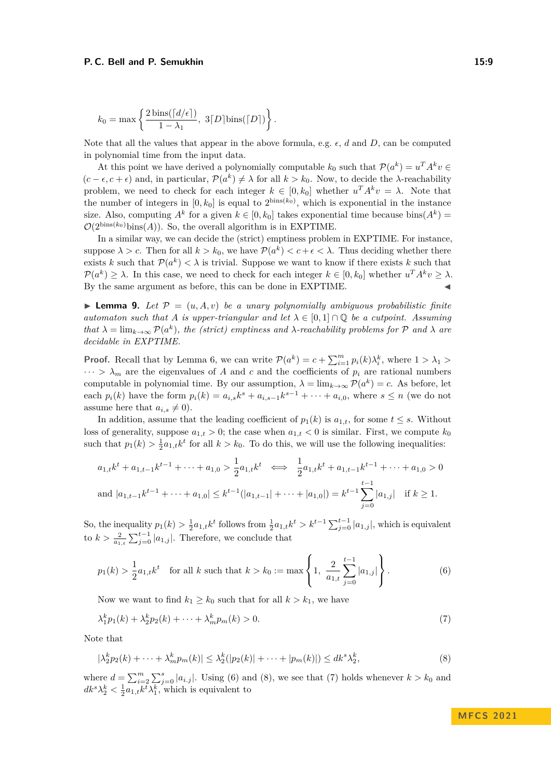$$
k_0 = \max \left\{ \frac{2 \operatorname{bins}(\lceil d/\epsilon \rceil)}{1 - \lambda_1}, \ 3 \lceil D \rceil \operatorname{bins}(\lceil D \rceil) \right\}.
$$

Note that all the values that appear in the above formula, e.g. *ϵ*, *d* and *D*, can be computed in polynomial time from the input data.

At this point we have derived a polynomially computable  $k_0$  such that  $\mathcal{P}(a^k) = u^T A^k v \in$  $(c - \epsilon, c + \epsilon)$  and, in particular,  $\mathcal{P}(a^k) \neq \lambda$  for all  $k > k_0$ . Now, to decide the  $\lambda$ -reachability problem, we need to check for each integer  $k \in [0, k_0]$  whether  $u^T A^k v = \lambda$ . Note that the number of integers in  $[0, k_0]$  is equal to  $2^{\text{bins}(k_0)}$ , which is exponential in the instance size. Also, computing  $A^k$  for a given  $k \in [0, k_0]$  takes exponential time because bins $(A^k)$  $\mathcal{O}(2^{\text{bins}(k_0)}\text{bins}(A))$ . So, the overall algorithm is in EXPTIME.

In a similar way, we can decide the (strict) emptiness problem in EXPTIME. For instance, suppose  $\lambda > c$ . Then for all  $k > k_0$ , we have  $\mathcal{P}(a^k) < c + \epsilon < \lambda$ . Thus deciding whether there exists *k* such that  $\mathcal{P}(a^k) < \lambda$  is trivial. Suppose we want to know if there exists *k* such that  $\mathcal{P}(a^k) \geq \lambda$ . In this case, we need to check for each integer  $k \in [0, k_0]$  whether  $u^T A^k v \geq \lambda$ . By the same argument as before, this can be done in EXPTIME.

<span id="page-8-0"></span> $\blacktriangleright$  **Lemma 9.** Let  $\mathcal{P} = (u, A, v)$  be a unary polynomially ambiguous probabilistic finite *automaton such that A is upper-triangular and let*  $\lambda \in [0,1] \cap \mathbb{Q}$  *be a cutpoint. Assuming that*  $\lambda = \lim_{k \to \infty} \mathcal{P}(a^k)$ , the (strict) emptiness and  $\lambda$ -reachability problems for  $\mathcal{P}$  and  $\lambda$  are *decidable in EXPTIME.*

**Proof.** Recall that by Lemma [6,](#page-5-1) we can write  $\mathcal{P}(a^k) = c + \sum_{i=1}^m p_i(k)\lambda_i^k$ , where  $1 > \lambda_1 >$  $\cdots > \lambda_m$  are the eigenvalues of A and c and the coefficients of  $p_i$  are rational numbers computable in polynomial time. By our assumption,  $\lambda = \lim_{k \to \infty} \mathcal{P}(a^k) = c$ . As before, let each  $p_i(k)$  have the form  $p_i(k) = a_{i,s}k^s + a_{i,s-1}k^{s-1} + \cdots + a_{i,0}$ , where  $s \leq n$  (we do not assume here that  $a_{i,s} \neq 0$ .

In addition, assume that the leading coefficient of  $p_1(k)$  is  $a_{1,t}$ , for some  $t \leq s$ . Without loss of generality, suppose  $a_{1,t} > 0$ ; the case when  $a_{1,t} < 0$  is similar. First, we compute  $k_0$ such that  $p_1(k) > \frac{1}{2}a_{1,t}k^t$  for all  $k > k_0$ . To do this, we will use the following inequalities:

$$
a_{1,t}k^{t} + a_{1,t-1}k^{t-1} + \dots + a_{1,0} > \frac{1}{2}a_{1,t}k^{t} \iff \frac{1}{2}a_{1,t}k^{t} + a_{1,t-1}k^{t-1} + \dots + a_{1,0} > 0
$$
\n
$$
\text{and } |a_{1,t-1}k^{t-1} + \dots + a_{1,0}| \le k^{t-1}(|a_{1,t-1}| + \dots + |a_{1,0}|) = k^{t-1} \sum_{j=0}^{t-1} |a_{1,j}| \quad \text{if } k \ge 1.
$$

So, the inequality  $p_1(k) > \frac{1}{2}a_{1,t}k^t$  follows from  $\frac{1}{2}a_{1,t}k^t > k^{t-1}\sum_{j=0}^{t-1}|a_{1,j}|$ , which is equivalent to  $k > \frac{2}{a_{1,t}} \sum_{j=0}^{t-1} |a_{1,j}|$ . Therefore, we conclude that

<span id="page-8-1"></span>
$$
p_1(k) > \frac{1}{2}a_{1,t}k^t \quad \text{for all } k \text{ such that } k > k_0 := \max\left\{1, \frac{2}{a_{1,t}}\sum_{j=0}^{t-1}|a_{1,j}|\right\}.
$$
 (6)

<span id="page-8-3"></span>Now we want to find  $k_1 \geq k_0$  such that for all  $k > k_1$ , we have

<span id="page-8-2"></span>
$$
\lambda_1^k p_1(k) + \lambda_2^k p_2(k) + \dots + \lambda_m^k p_m(k) > 0.
$$
 (7)

Note that

$$
|\lambda_2^k p_2(k) + \dots + \lambda_m^k p_m(k)| \leq \lambda_2^k (|p_2(k)| + \dots + |p_m(k)|) \leq dk^s \lambda_2^k,
$$
\n(8)

where  $d = \sum_{i=2}^{m} \sum_{j=0}^{s} |a_{i,j}|$ . Using [\(6\)](#page-8-1) and [\(8\)](#page-8-2), we see that [\(7\)](#page-8-3) holds whenever  $k > k_0$  and  $dk^s \lambda_2^k < \frac{1}{2} a_{1,t} k^t \lambda_1^k$ , which is equivalent to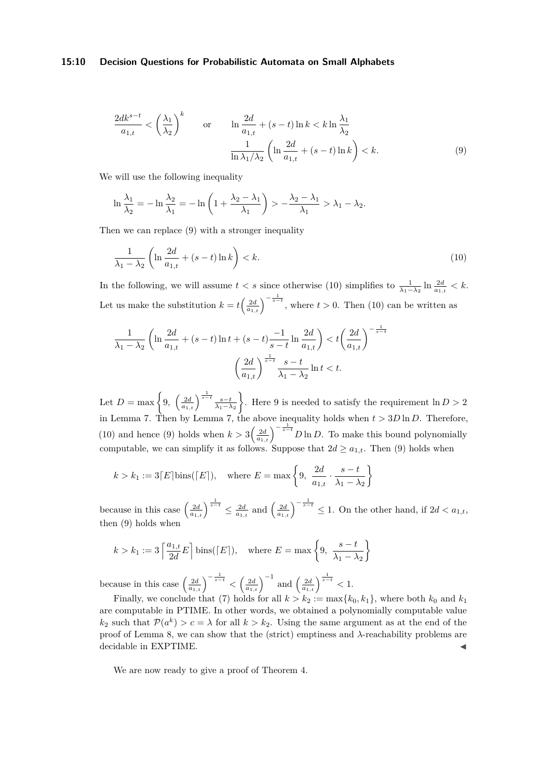## **15:10 Decision Questions for Probabilistic Automata on Small Alphabets**

<span id="page-9-0"></span>
$$
\frac{2dk^{s-t}}{a_{1,t}} < \left(\frac{\lambda_1}{\lambda_2}\right)^k \quad \text{or} \quad \ln \frac{2d}{a_{1,t}} + (s-t)\ln k < k \ln \frac{\lambda_1}{\lambda_2}
$$
\n
$$
\frac{1}{\ln \lambda_1/\lambda_2} \left(\ln \frac{2d}{a_{1,t}} + (s-t)\ln k\right) < k. \tag{9}
$$

We will use the following inequality

$$
\ln \frac{\lambda_1}{\lambda_2} = -\ln \frac{\lambda_2}{\lambda_1} = -\ln \left( 1 + \frac{\lambda_2 - \lambda_1}{\lambda_1} \right) > -\frac{\lambda_2 - \lambda_1}{\lambda_1} > \lambda_1 - \lambda_2.
$$

Then we can replace [\(9\)](#page-9-0) with a stronger inequality

<span id="page-9-1"></span>
$$
\frac{1}{\lambda_1 - \lambda_2} \left( \ln \frac{2d}{a_{1,t}} + (s - t) \ln k \right) < k. \tag{10}
$$

In the following, we will assume  $t < s$  since otherwise [\(10\)](#page-9-1) simplifies to  $\frac{1}{\lambda_1 - \lambda_2} \ln \frac{2d}{a_{1,t}} < k$ . Let us make the substitution  $k = t\left(\frac{2d}{a_{1,t}}\right)^{-\frac{1}{s-t}}$ , where  $t > 0$ . Then [\(10\)](#page-9-1) can be written as

$$
\frac{1}{\lambda_1 - \lambda_2} \left( \ln \frac{2d}{a_{1,t}} + (s - t) \ln t + (s - t) \frac{-1}{s - t} \ln \frac{2d}{a_{1,t}} \right) < t \left( \frac{2d}{a_{1,t}} \right)^{-\frac{1}{s - t}} \\
\left( \frac{2d}{a_{1,t}} \right)^{\frac{1}{s - t}} \frac{s - t}{\lambda_1 - \lambda_2} \ln t < t.
$$

Let  $D = \max \left\{ 9, \left( \frac{2d}{a_{1,t}} \right)^{\frac{1}{s-t}} \frac{s-t}{\lambda_1 - \lambda_2} \right\}$ . Here 9 is needed to satisfy the requirement  $\ln D > 2$ in Lemma [7.](#page-6-2) Then by Lemma [7,](#page-6-2) the above inequality holds when *t >* 3*D* ln *D*. Therefore, [\(10\)](#page-9-1) and hence [\(9\)](#page-9-0) holds when  $k > 3\left(\frac{2d}{a_{1,t}}\right)^{-\frac{1}{s-t}}D\ln D$ . To make this bound polynomially computable, we can simplify it as follows. Suppose that  $2d \ge a_{1,t}$ . Then [\(9\)](#page-9-0) holds when

$$
k > k_1 := 3\lceil E \rceil \text{bins}(\lceil E \rceil), \quad \text{where } E = \max\left\{9, \frac{2d}{a_{1,t}} \cdot \frac{s-t}{\lambda_1 - \lambda_2}\right\}
$$

because in this case  $\left(\frac{2d}{a_{1,t}}\right)^{\frac{1}{s-t}} \leq \frac{2d}{a_{1,t}}$  and  $\left(\frac{2d}{a_{1,t}}\right)^{-\frac{1}{s-t}} \leq 1$ . On the other hand, if  $2d < a_{1,t}$ , then [\(9\)](#page-9-0) holds when

$$
k > k_1 := 3 \left\lceil \frac{a_{1,t}}{2d} E \right\rceil \text{bins}(\lceil E \rceil), \quad \text{where } E = \max \left\{ 9, \frac{s-t}{\lambda_1 - \lambda_2} \right\}
$$

because in this case  $\left(\frac{2d}{a_{1,t}}\right)^{-\frac{1}{s-t}} < \left(\frac{2d}{a_{1,t}}\right)^{-1}$  and  $\left(\frac{2d}{a_{1,t}}\right)^{\frac{1}{s-t}} < 1$ .

Finally, we conclude that [\(7\)](#page-8-3) holds for all  $k > k_2 := max{k_0, k_1}$ , where both  $k_0$  and  $k_1$ are computable in PTIME. In other words, we obtained a polynomially computable value  $k_2$  such that  $\mathcal{P}(a^k) > c = \lambda$  for all  $k > k_2$ . Using the same argument as at the end of the proof of Lemma [8,](#page-6-0) we can show that the (strict) emptiness and *λ*-reachability problems are decidable in EXPTIME.

We are now ready to give a proof of Theorem [4.](#page-3-0)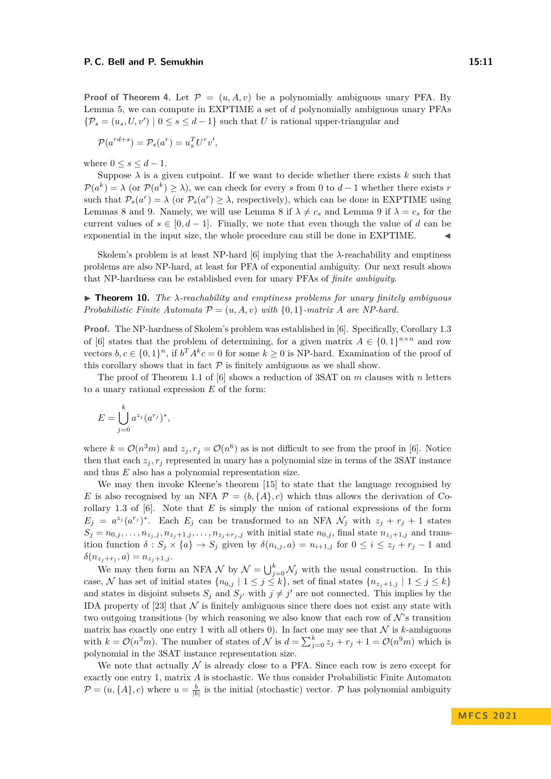**Proof of Theorem [4.](#page-3-0)** Let  $\mathcal{P} = (u, A, v)$  be a polynomially ambiguous unary PFA. By Lemma [5,](#page-4-0) we can compute in EXPTIME a set of *d* polynomially ambiguous unary PFAs  ${\mathcal{P}}_s = (u_s, U, v') \mid 0 \le s \le d - 1$  such that *U* is rational upper-triangular and

$$
\mathcal{P}(a^{rd+s}) = \mathcal{P}_s(a^r) = u_s^T U^r v',
$$

where  $0 \leq s \leq d-1$ .

Suppose  $\lambda$  is a given cutpoint. If we want to decide whether there exists  $k$  such that  $\mathcal{P}(a^k) = \lambda$  (or  $\mathcal{P}(a^k) \geq \lambda$ ), we can check for every *s* from 0 to *d* − 1 whether there exists *r* such that  $\mathcal{P}_s(a^r) = \lambda$  (or  $\mathcal{P}_s(a^r) \geq \lambda$ , respectively), which can be done in EXPTIME using Lemmas [8](#page-6-0) and [9.](#page-8-0) Namely, we will use Lemma 8 if  $\lambda \neq c_s$  and Lemma [9](#page-8-0) if  $\lambda = c_s$  for the current values of  $s \in [0, d-1]$ . Finally, we note that even though the value of *d* can be exponential in the input size, the whole procedure can still be done in EXPTIME.

Skolem's problem is at least NP-hard  $[6]$  implying that the  $\lambda$ -reachability and emptiness problems are also NP-hard, at least for PFA of exponential ambiguity. Our next result shows that NP-hardness can be established even for unary PFAs of *finite ambiguity*.

<span id="page-10-0"></span>▶ **Theorem 10.** *The λ-reachability and emptiness problems for unary finitely ambiguous Probabilistic Finite Automata*  $\mathcal{P} = (u, A, v)$  *with*  $\{0, 1\}$ *-matrix A are NP-hard.* 

**Proof.** The NP-hardness of Skolem's problem was established in [\[6\]](#page-15-15). Specifically, Corollary 1.3 of [\[6\]](#page-15-15) states that the problem of determining, for a given matrix  $A \in \{0,1\}^{n \times n}$  and row vectors  $b, c \in \{0, 1\}^n$ , if  $b^T A^k c = 0$  for some  $k \geq 0$  is NP-hard. Examination of the proof of this corollary shows that in fact  $P$  is finitely ambiguous as we shall show.

The proof of Theorem 1.1 of [\[6\]](#page-15-15) shows a reduction of 3SAT on *m* clauses with *n* letters to a unary rational expression *E* of the form:

$$
E = \bigcup_{j=0}^{k} a^{z_j} (a^{r_j})^*,
$$

where  $k = \mathcal{O}(n^3m)$  and  $z_j, r_j = \mathcal{O}(n^6)$  as is not difficult to see from the proof in [\[6\]](#page-15-15). Notice then that each  $z_j$ ,  $r_j$  represented in unary has a polynomial size in terms of the 3SAT instance and thus *E* also has a polynomial representation size.

We may then invoke Kleene's theorem [\[15\]](#page-15-16) to state that the language recognised by *E* is also recognised by an NFA  $\mathcal{P} = (b, \{A\}, c)$  which thus allows the derivation of Corollary 1.3 of [\[6\]](#page-15-15). Note that *E* is simply the union of rational expressions of the form  $E_j = a^{z_j}(a^{r_j})^*$ . Each  $E_j$  can be transformed to an NFA  $\mathcal{N}_j$  with  $z_j + r_j + 1$  states  $S_j = n_{0,j}, \ldots, n_{z_j,j}, n_{z_j+1,j}, \ldots, n_{z_j+r_j,j}$  with initial state  $n_{0,j}$ , final state  $n_{z_j+1,j}$  and transition function  $\delta : S_j \times \{a\} \to S_j$  given by  $\delta(n_{i,j}, a) = n_{i+1,j}$  for  $0 \leq i \leq z_j + r_j - 1$  and  $\delta(n_{z_j+r_j}, a) = n_{z_j+1,j}.$ 

We may then form an NFA  $\mathcal N$  by  $\mathcal N = \bigcup_{j=0}^k \mathcal N_j$  with the usual construction. In this case, N has set of initial states  $\{n_{0,j} \mid 1 \leq j \leq k\}$ , set of final states  $\{n_{z_j+1,j} \mid 1 \leq j \leq k\}$ and states in disjoint subsets  $S_j$  and  $S_{j'}$  with  $j \neq j'$  are not connected. This implies by the IDA property of [\[23\]](#page-16-0) that  $\mathcal N$  is finitely ambiguous since there does not exist any state with two outgoing transitions (by which reasoning we also know that each row of  $\mathcal{N}$ 's transition matrix has exactly one entry 1 with all others 0). In fact one may see that  $N$  is  $k$ -ambiguous with  $k = \mathcal{O}(n^3m)$ . The number of states of N is  $d = \sum_{j=0}^{k} z_j + r_j + 1 = \mathcal{O}(n^9m)$  which is polynomial in the 3SAT instance representation size.

We note that actually  $N$  is already close to a PFA. Since each row is zero except for exactly one entry 1, matrix *A* is stochastic. We thus consider Probabilistic Finite Automaton  $\mathcal{P} = (u, \{A\}, c)$  where  $u = \frac{b}{|b|}$  is the initial (stochastic) vector.  $\mathcal{P}$  has polynomial ambiguity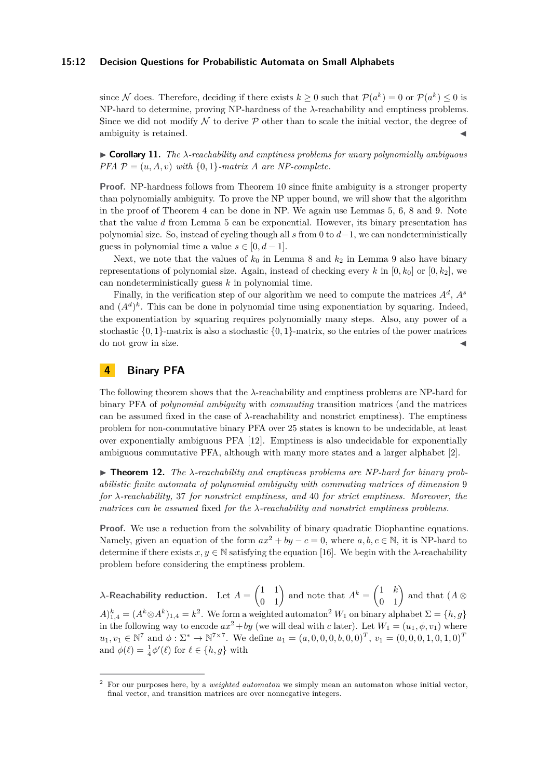## **15:12 Decision Questions for Probabilistic Automata on Small Alphabets**

since N does. Therefore, deciding if there exists  $k \geq 0$  such that  $\mathcal{P}(a^k) = 0$  or  $\mathcal{P}(a^k) \leq 0$  is NP-hard to determine, proving NP-hardness of the *λ*-reachability and emptiness problems. Since we did not modify  $\mathcal N$  to derive  $\mathcal P$  other than to scale the initial vector, the degree of ambiguity is retained.

<span id="page-11-0"></span> $\triangleright$  **Corollary 11.** *The*  $\lambda$ -reachability and emptiness problems for unary polynomially ambiguous *PFA*  $P = (u, A, v)$  *with*  $\{0, 1\}$ *-matrix A are NP-complete.* 

**Proof.** NP-hardness follows from Theorem [10](#page-10-0) since finite ambiguity is a stronger property than polynomially ambiguity. To prove the NP upper bound, we will show that the algorithm in the proof of Theorem [4](#page-3-0) can be done in NP. We again use Lemmas [5,](#page-4-0) [6,](#page-5-1) [8](#page-6-0) and [9.](#page-8-0) Note that the value *d* from Lemma [5](#page-4-0) can be exponential. However, its binary presentation has polynomial size. So, instead of cycling though all *s* from 0 to *d*−1, we can nondeterministically guess in polynomial time a value  $s \in [0, d-1]$ .

Next, we note that the values of  $k_0$  in Lemma [8](#page-6-0) and  $k_2$  in Lemma [9](#page-8-0) also have binary representations of polynomial size. Again, instead of checking every  $k$  in  $[0, k_0]$  or  $[0, k_2]$ , we can nondeterministically guess *k* in polynomial time.

Finally, in the verification step of our algorithm we need to compute the matrices *A<sup>d</sup>* , *A<sup>s</sup>* and  $(A^d)^k$ . This can be done in polynomial time using exponentiation by squaring. Indeed, the exponentiation by squaring requires polynomially many steps. Also, any power of a stochastic  $\{0,1\}$ -matrix is also a stochastic  $\{0,1\}$ -matrix, so the entries of the power matrices do not grow in size.

# **4 Binary PFA**

The following theorem shows that the *λ*-reachability and emptiness problems are NP-hard for binary PFA of *polynomial ambiguity* with *commuting* transition matrices (and the matrices can be assumed fixed in the case of *λ*-reachability and nonstrict emptiness). The emptiness problem for non-commutative binary PFA over 25 states is known to be undecidable, at least over exponentially ambiguous PFA [\[12\]](#page-15-2). Emptiness is also undecidable for exponentially ambiguous commutative PFA, although with many more states and a larger alphabet [\[2\]](#page-15-7).

<span id="page-11-1"></span>▶ **Theorem 12.** *The λ-reachability and emptiness problems are NP-hard for binary probabilistic finite automata of polynomial ambiguity with commuting matrices of dimension* 9 *for λ-reachability,* 37 *for nonstrict emptiness, and* 40 *for strict emptiness. Moreover, the matrices can be assumed* fixed *for the λ-reachability and nonstrict emptiness problems.*

**Proof.** We use a reduction from the solvability of binary quadratic Diophantine equations. Namely, given an equation of the form  $ax^2 + by - c = 0$ , where  $a, b, c \in \mathbb{N}$ , it is NP-hard to determine if there exists  $x, y \in \mathbb{N}$  satisfying the equation [\[16\]](#page-15-17). We begin with the  $\lambda$ -reachability problem before considering the emptiness problem.

*λ***-Reachability reduction.** Let  $A = \begin{pmatrix} 1 & 1 \ 0 & 1 \end{pmatrix}$  and note that  $A^k = \begin{pmatrix} 1 & k \ 0 & 1 \end{pmatrix}$  and that  $(A \otimes$  $A)_{1,4}^k = (A^k \otimes A^k)_{1,4} = k^2$  $A)_{1,4}^k = (A^k \otimes A^k)_{1,4} = k^2$ . We form a weighted automaton<sup>2</sup>  $W_1$  on binary alphabet  $\Sigma = \{h, g\}$ in the following way to encode  $ax^2 + by$  (we will deal with *c* later). Let  $W_1 = (u_1, \phi, v_1)$  where  $u_1, v_1 \in \mathbb{N}^7$  and  $\phi: \Sigma^* \to \mathbb{N}^{7 \times 7}$ . We define  $u_1 = (a, 0, 0, 0, b, 0, 0)^T$ ,  $v_1 = (0, 0, 0, 1, 0, 1, 0)^T$ and  $\phi(\ell) = \frac{1}{4}\phi'(\ell)$  for  $\ell \in \{h, g\}$  with

<span id="page-11-2"></span><sup>2</sup> For our purposes here, by a *weighted automaton* we simply mean an automaton whose initial vector, final vector, and transition matrices are over nonnegative integers.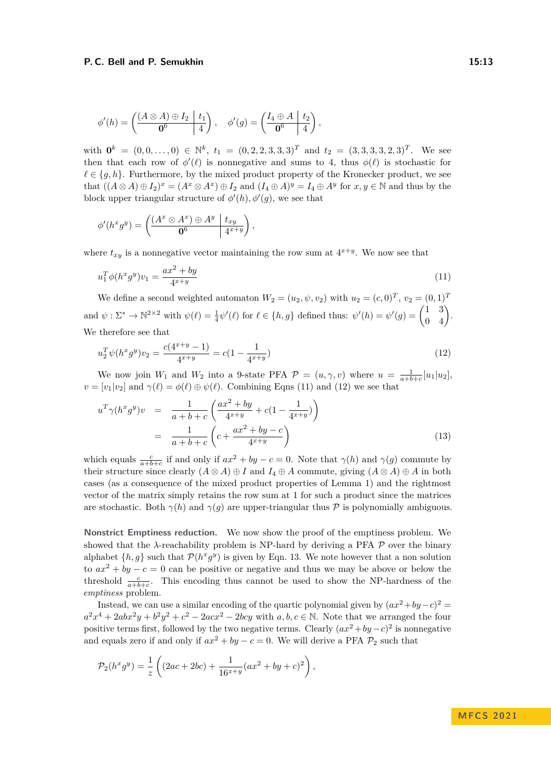$$
\phi'(h) = \left(\frac{(A \otimes A) \oplus I_2 \mid t_1}{\mathbf{0}^6} \right), \quad \phi'(g) = \left(\frac{I_4 \oplus A \mid t_2}{\mathbf{0}^6 \mid 4} \right),
$$

with  $\mathbf{0}^k = (0,0,\ldots,0) \in \mathbb{N}^k$ ,  $t_1 = (0,2,2,3,3,3)^T$  and  $t_2 = (3,3,3,3,2,3)^T$ . We see then that each row of  $\phi'(\ell)$  is nonnegative and sums to 4, thus  $\phi(\ell)$  is stochastic for  $\ell \in \{g, h\}$ . Furthermore, by the mixed product property of the Kronecker product, we see that  $((A \otimes A) \oplus I_2)^x = (A^x \otimes A^x) \oplus I_2$  and  $(I_4 \oplus A)^y = I_4 \oplus A^y$  for  $x, y \in \mathbb{N}$  and thus by the block upper triangular structure of  $\phi'(h)$ ,  $\phi'(g)$ , we see that

$$
\phi'(h^x g^y) = \left(\frac{(A^x \otimes A^x) \oplus A^y \mid t_{xy}}{\mathbf{0}^6} \middle| \frac{t_{xy}}{4^{x+y}}\right),\,
$$

where  $t_{xy}$  is a nonnegative vector maintaining the row sum at  $4^{x+y}$ . We now see that

<span id="page-12-0"></span>
$$
u_1^T \phi(h^x g^y) v_1 = \frac{ax^2 + by}{4^{x+y}}
$$
\n(11)

We define a second weighted automaton  $W_2 = (u_2, \psi, v_2)$  with  $u_2 = (c, 0)^T$ ,  $v_2 = (0, 1)^T$ and  $\psi : \Sigma^* \to \mathbb{N}^{2 \times 2}$  with  $\psi(\ell) = \frac{1}{4} \psi'(\ell)$  for  $\ell \in \{h, g\}$  defined thus:  $\psi'(h) = \psi'(g) = \begin{pmatrix} 1 & 3 \\ 0 & 4 \end{pmatrix}$ . We therefore see that

<span id="page-12-1"></span>
$$
u_2^T \psi(h^x g^y) v_2 = \frac{c(4^{x+y} - 1)}{4^{x+y}} = c(1 - \frac{1}{4^{x+y}})
$$
\n(12)

We now join  $W_1$  and  $W_2$  into a 9-state PFA  $\mathcal{P} = (u, \gamma, v)$  where  $u = \frac{1}{a+b+c}[u_1|u_2]$ ,  $v = [v_1|v_2]$  and  $\gamma(\ell) = \phi(\ell) \oplus \psi(\ell)$ . Combining Eqns [\(11\)](#page-12-0) and [\(12\)](#page-12-1) we see that

<span id="page-12-2"></span>
$$
u^T \gamma (h^x g^y) v = \frac{1}{a+b+c} \left( \frac{ax^2 + by}{4^{x+y}} + c \left( 1 - \frac{1}{4^{x+y}} \right) \right)
$$
  
= 
$$
\frac{1}{a+b+c} \left( c + \frac{ax^2 + by - c}{4^{x+y}} \right)
$$
(13)

which equals  $\frac{c}{a+b+c}$  if and only if  $ax^2 + by - c = 0$ . Note that  $\gamma(h)$  and  $\gamma(g)$  commute by their structure since clearly  $(A \otimes A) \oplus I$  and  $I_4 \oplus A$  commute, giving  $(A \otimes A) \oplus A$  in both cases (as a consequence of the mixed product properties of Lemma [1\)](#page-2-0) and the rightmost vector of the matrix simply retains the row sum at 1 for such a product since the matrices are stochastic. Both  $\gamma(h)$  and  $\gamma(g)$  are upper-triangular thus P is polynomially ambiguous.

**Nonstrict Emptiness reduction.** We now show the proof of the emptiness problem. We showed that the  $\lambda$ -reachability problem is NP-hard by deriving a PFA  $\mathcal P$  over the binary alphabet  $\{h, g\}$  such that  $\mathcal{P}(h^x g^y)$  is given by Eqn. [13.](#page-12-2) We note however that a non solution to  $ax^2 + by - c = 0$  can be positive or negative and thus we may be above or below the threshold  $\frac{c}{a+b+c}$ . This encoding thus cannot be used to show the NP-hardness of the *emptiness* problem.

Instead, we can use a similar encoding of the quartic polynomial given by  $(ax^2 + by - c)^2$  $a^2x^4 + 2abx^2y + b^2y^2 + c^2 - 2acx^2 - 2bcy$  with  $a, b, c \in \mathbb{N}$ . Note that we arranged the four positive terms first, followed by the two negative terms. Clearly  $(ax^2 + by - c)^2$  is nonnegative and equals zero if and only if  $ax^2 + by - c = 0$ . We will derive a PFA  $\mathcal{P}_2$  such that

$$
\mathcal{P}_2(h^x g^y) = \frac{1}{z} \left( (2ac + 2bc) + \frac{1}{16^{x+y}} (ax^2 + by + c)^2 \right),
$$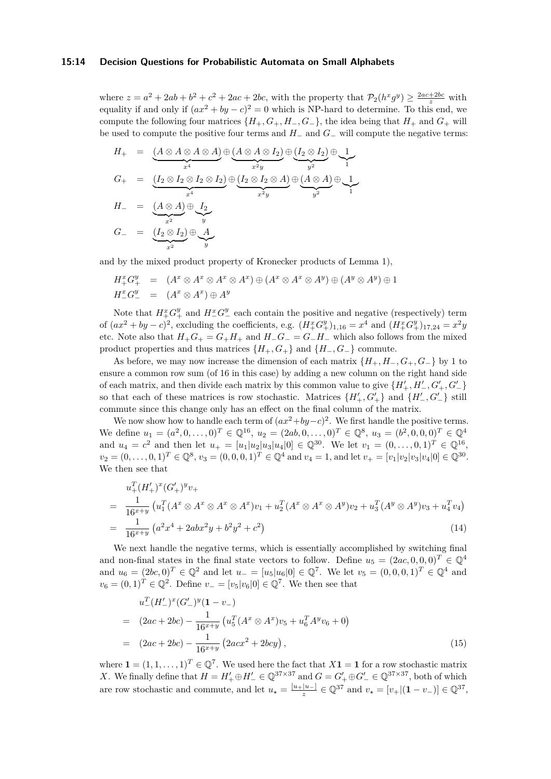## **15:14 Decision Questions for Probabilistic Automata on Small Alphabets**

where  $z = a^2 + 2ab + b^2 + c^2 + 2ac + 2bc$ , with the property that  $\mathcal{P}_2(h^x g^y) \geq \frac{2ac + 2bc}{z}$  with equality if and only if  $(ax^2 + by - c)^2 = 0$  which is NP-hard to determine. To this end, we compute the following four matrices  $\{H_+, G_+, H_-, G_-\}$ , the idea being that  $H_+$  and  $G_+$  will be used to compute the positive four terms and *H*<sup>−</sup> and *G*<sup>−</sup> will compute the negative terms:

$$
H_{+} = (\underbrace{A \otimes A \otimes A \otimes A}_{x^{4}}) \oplus (\underbrace{A \otimes A \otimes I_{2}}_{x^{2}y}) \oplus (\underbrace{I_{2} \otimes I_{2}}_{y^{2}}) \oplus \underbrace{1}_{y^{2}}
$$
\n
$$
G_{+} = (\underbrace{I_{2} \otimes I_{2} \otimes I_{2} \otimes I_{2}}_{x^{4}}) \oplus (\underbrace{I_{2} \otimes I_{2} \otimes A}_{x^{2}y}) \oplus (\underbrace{A \otimes A}_{y^{2}}) \oplus \underbrace{1}_{y^{2}}
$$
\n
$$
H_{-} = (\underbrace{A \otimes A}_{x^{2}}) \oplus \underbrace{I_{2}}_{y}
$$
\n
$$
G_{-} = (\underbrace{I_{2} \otimes I_{2}}_{x^{2}}) \oplus \underbrace{A}_{y}
$$

and by the mixed product property of Kronecker products of Lemma [1\)](#page-2-0),

$$
H_+^x G_+^y = (A^x \otimes A^x \otimes A^x \otimes A^x) \oplus (A^x \otimes A^x \otimes A^y) \oplus (A^y \otimes A^y) \oplus 1
$$
  

$$
H_-^x G_-^y = (A^x \otimes A^x) \oplus A^y
$$

Note that  $H_+^x G_+^y$  and  $H_-^x G_-^y$  each contain the positive and negative (respectively) term of  $(ax^2 + by - c)^2$ , excluding the coefficients, e.g.  $(H_+^x G_+^y)_{1,16} = x^4$  and  $(H_+^x G_+^y)_{17,24} = x^2y$ etc. Note also that  $H_+G_+ = G_+H_+$  and  $H_-G_- = G_-H_-$  which also follows from the mixed product properties and thus matrices  ${H_+, G_+}$  and  ${H_-, G_-}$  commute.

As before, we may now increase the dimension of each matrix  ${H_+, H_-, G_+, G_+}$  by 1 to ensure a common row sum (of 16 in this case) by adding a new column on the right hand side of each matrix, and then divide each matrix by this common value to give  $\{H'_{+}, H'_{-}, G'_{+}, G'_{-}\}$ so that each of these matrices is row stochastic. Matrices  $\{H'_{+}, G'_{+}\}$  and  $\{H'_{-}, G'_{-}\}$  still commute since this change only has an effect on the final column of the matrix.

We now show how to handle each term of  $(ax^2+by-c)^2$ . We first handle the positive terms. We define  $u_1 = (a^2, 0, \ldots, 0)^T \in \mathbb{Q}^{16}$ ,  $u_2 = (2ab, 0, \ldots, 0)^T \in \mathbb{Q}^8$ ,  $u_3 = (b^2, 0, 0, 0)^T \in \mathbb{Q}^4$ and  $u_4 = c^2$  and then let  $u_+ = [u_1|u_2|u_3|u_4|0] \in \mathbb{Q}^{30}$ . We let  $v_1 = (0, \ldots, 0, 1)^T \in \mathbb{Q}^{16}$ ,  $v_2 = (0, \ldots, 0, 1)^T \in \mathbb{Q}^8$ ,  $v_3 = (0, 0, 0, 1)^T \in \mathbb{Q}^4$  and  $v_4 = 1$ , and let  $v_+ = [v_1 | v_2 | v_3 | v_4 | 0] \in \mathbb{Q}^{30}$ . We then see that

<span id="page-13-0"></span>
$$
u_{+}^{T}(H_{+}')^{x}(G_{+}')^{y}v_{+}
$$
\n
$$
= \frac{1}{16^{x+y}} \left( u_{1}^{T}(A^{x} \otimes A^{x} \otimes A^{x} \otimes A^{x})v_{1} + u_{2}^{T}(A^{x} \otimes A^{x} \otimes A^{y})v_{2} + u_{3}^{T}(A^{y} \otimes A^{y})v_{3} + u_{4}^{T}v_{4} \right)
$$
\n
$$
= \frac{1}{16^{x+y}} \left( a^{2}x^{4} + 2abx^{2}y + b^{2}y^{2} + c^{2} \right)
$$
\n(14)

We next handle the negative terms, which is essentially accomplished by switching final and non-final states in the final state vectors to follow. Define  $u_5 = (2ac, 0, 0, 0)^T \in \mathbb{Q}^4$ and  $u_6 = (2bc, 0)^T \in \mathbb{Q}^2$  and let  $u_- = [u_5|u_6|0] \in \mathbb{Q}^7$ . We let  $v_5 = (0, 0, 0, 1)^T \in \mathbb{Q}^4$  and  $v_6 = (0, 1)^T \in \mathbb{Q}^2$ . Define  $v_- = [v_5|v_6|0] \in \mathbb{Q}^7$ . We then see that

<span id="page-13-1"></span>
$$
u_{-}^{T}(H'_{-})^{x}(G'_{-})^{y}(1 - v_{-})
$$
\n
$$
= (2ac + 2bc) - \frac{1}{16^{x+y}} \left( u_{5}^{T}(A^{x} \otimes A^{x})v_{5} + u_{6}^{T}A^{y}v_{6} + 0 \right)
$$
\n
$$
= (2ac + 2bc) - \frac{1}{16^{x+y}} \left( 2acx^{2} + 2bcy \right), \qquad (15)
$$

where  $\mathbf{1} = (1, 1, \ldots, 1)^T \in \mathbb{Q}^7$ . We used here the fact that  $X\mathbf{1} = \mathbf{1}$  for a row stochastic matrix *X*. We finally define that  $H = H'_{+} \oplus H'_{-} \in \mathbb{Q}^{37 \times 37}$  and  $G = G'_{+} \oplus G'_{-} \in \mathbb{Q}^{37 \times 37}$ , both of which are row stochastic and commute, and let  $u_\star = \frac{[u_+|u_-]}{z} \in \mathbb{Q}^{37}$  and  $v_\star = [v_+|(\mathbf{1} - v_-)] \in \mathbb{Q}^{37}$ ,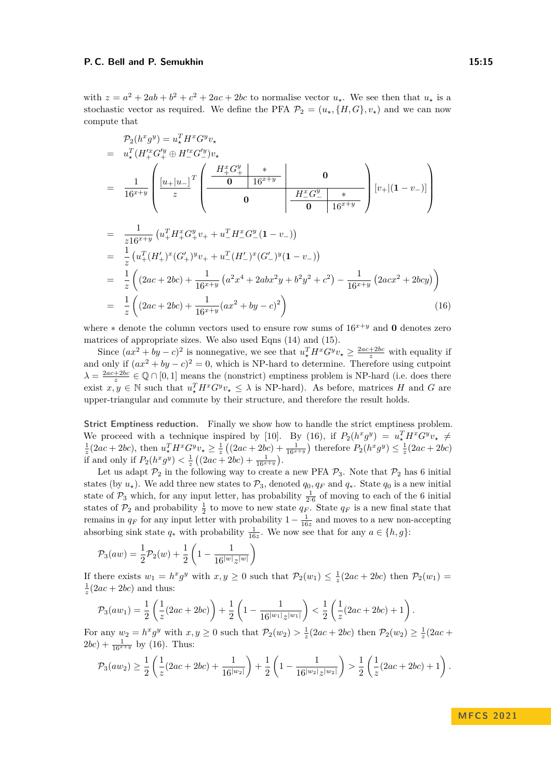with  $z = a^2 + 2ab + b^2 + c^2 + 2ac + 2bc$  to normalise vector  $u_\star$ . We see then that  $u_\star$  is a stochastic vector as required. We define the PFA  $\mathcal{P}_2 = (u_\star, \{H, G\}, v_\star)$  and we can now compute that

<span id="page-14-0"></span>
$$
\mathcal{P}_2(h^x g^y) = u_*^T H^x G^y v_*
$$
\n
$$
= u_*^T (H_+^{tx} G_+^{ty} \oplus H_-^{tx} G_-^{ty}) v_*
$$
\n
$$
= \frac{1}{16^{x+y}} \left( \frac{[u_+|u_-]}{z} \begin{pmatrix} \frac{H_+^x G_+^{y}}{0} & * & 0 \\ 0 & 16^{x+y} \end{pmatrix} \begin{pmatrix} H_-^{x} G_-^{y} & * \\ 0 & 0 \end{pmatrix} \begin{pmatrix} H_-^{x} G_-^{y} & * \\ 0 & 16^{x+y} \end{pmatrix} [v_+|(1-v_-)] \right)
$$
\n
$$
= \frac{1}{z 16^{x+y}} (u_+^T H_+^{x} G_+^{y} v_+ + u_-^T H_-^{x} G_-^{y} (1-v_-))
$$
\n
$$
= \frac{1}{z} (u_+^T (H_+')^x (G_+')^y v_+ + u_-^T (H_-')^x (G_-')^y (1-v_-))
$$
\n
$$
= \frac{1}{z} \left( (2ac + 2bc) + \frac{1}{16^{x+y}} (a^2 x^4 + 2ab x^2 y + b^2 y^2 + c^2) - \frac{1}{16^{x+y}} (2ac x^2 + 2bc y) \right)
$$
\n
$$
= \frac{1}{z} \left( (2ac + 2bc) + \frac{1}{16^{x+y}} (ax^2 + by - c)^2 \right) \tag{16}
$$

where  $*$  denote the column vectors used to ensure row sums of  $16^{x+y}$  and **0** denotes zero matrices of appropriate sizes. We also used Eqns [\(14\)](#page-13-0) and [\(15\)](#page-13-1).

Since  $(ax^2 + by - c)^2$  is nonnegative, we see that  $u_\star^T H^x G^y v_\star \geq \frac{2ac + 2bc}{z}$  with equality if and only if  $(ax^2 + by - c)^2 = 0$ , which is NP-hard to determine. Therefore using cutpoint  $\lambda = \frac{2ac+2bc}{z} \in \mathbb{Q} \cap [0,1]$  means the (nonstrict) emptiness problem is NP-hard (i.e. does there exist  $x, y \in \mathbb{N}$  such that  $u^T_* H^x G^y v_\star \leq \lambda$  is NP-hard). As before, matrices *H* and *G* are upper-triangular and commute by their structure, and therefore the result holds.

**Strict Emptiness reduction.** Finally we show how to handle the strict emptiness problem. We proceed with a technique inspired by [\[10\]](#page-15-18). By [\(16\)](#page-14-0), if  $P_2(h^x g^y) = u_*^T H^x G^y v_* \neq$  $\frac{1}{z}(2ac+2bc)$ , then  $u_x^TH^xG^yv_x \ge \frac{1}{z}((2ac+2bc)+\frac{1}{16^{x+y}})$  therefore  $P_2(h^x g^y) \le \frac{1}{z}(2ac+2bc)$ if and only if  $P_2(h^x g^y) < \frac{1}{z} ((2ac + 2bc) + \frac{1}{16^{x+y}}).$ 

Let us adapt  $\mathcal{P}_2$  in the following way to create a new PFA  $\mathcal{P}_3$ . Note that  $\mathcal{P}_2$  has 6 initial states (by  $u_{\star}$ ). We add three new states to  $\mathcal{P}_3$ , denoted  $q_0, q_F$  and  $q_*$ . State  $q_0$  is a new initial state of  $P_3$  which, for any input letter, has probability  $\frac{1}{2.6}$  of moving to each of the 6 initial states of  $\mathcal{P}_2$  and probability  $\frac{1}{2}$  to move to new state  $q_F$ . State  $q_F$  is a new final state that remains in  $q_F$  for any input letter with probability  $1 - \frac{1}{16z}$  and moves to a new non-accepting absorbing sink state  $q_*$  with probability  $\frac{1}{16z}$ . We now see that for any  $a \in \{h, g\}$ :

$$
\mathcal{P}_3(aw) = \frac{1}{2}\mathcal{P}_2(w) + \frac{1}{2}\left(1 - \frac{1}{16^{|w|}z^{|w|}}\right)
$$

If there exists  $w_1 = h^x g^y$  with  $x, y \ge 0$  such that  $\mathcal{P}_2(w_1) \le \frac{1}{z}(2ac + 2bc)$  then  $\mathcal{P}_2(w_1) =$  $\frac{1}{z}(2ac+2bc)$  and thus:

$$
\mathcal{P}_3(aw_1) = \frac{1}{2} \left( \frac{1}{z} (2ac + 2bc) \right) + \frac{1}{2} \left( 1 - \frac{1}{16^{|w_1|} z^{|w_1|}} \right) < \frac{1}{2} \left( \frac{1}{z} (2ac + 2bc) + 1 \right).
$$

For any  $w_2 = h^x g^y$  with  $x, y \ge 0$  such that  $\mathcal{P}_2(w_2) > \frac{1}{z}(2ac + 2bc)$  then  $\mathcal{P}_2(w_2) \ge \frac{1}{z}(2ac + 2bc)$  $(2bc) + \frac{1}{16^{x+y}}$  by [\(16\)](#page-14-0). Thus:

$$
\mathcal{P}_3(aw_2)\geq \frac{1}{2}\left(\frac{1}{z}(2ac+2bc)+\frac{1}{16^{|w_2|}}\right)+\frac{1}{2}\left(1-\frac{1}{16^{|w_2|}z^{|w_2|}}\right)>\frac{1}{2}\left(\frac{1}{z}(2ac+2bc)+1\right).
$$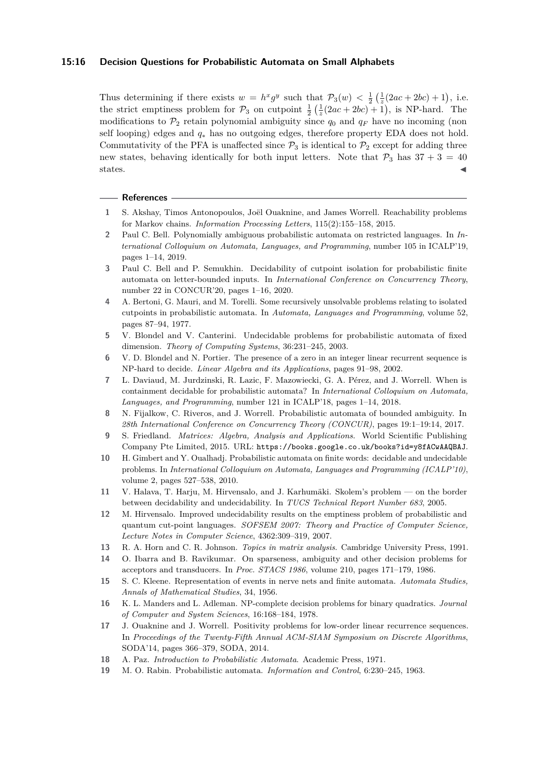## **15:16 Decision Questions for Probabilistic Automata on Small Alphabets**

Thus determining if there exists  $w = h^x g^y$  such that  $\mathcal{P}_3(w) < \frac{1}{2} \left( \frac{1}{z} (2ac + 2bc) + 1 \right)$ , i.e. the strict emptiness problem for  $\mathcal{P}_3$  on cutpoint  $\frac{1}{2}(\frac{1}{z}(2ac+2bc)+1)$ , is NP-hard. The modifications to  $\mathcal{P}_2$  retain polynomial ambiguity since  $q_0$  and  $q_F$  have no incoming (non self looping) edges and *q*<sup>∗</sup> has no outgoing edges, therefore property EDA does not hold. Commutativity of the PFA is unaffected since  $\mathcal{P}_3$  is identical to  $\mathcal{P}_2$  except for adding three new states, behaving identically for both input letters. Note that  $\mathcal{P}_3$  has  $37 + 3 = 40$ states.  $\blacksquare$ 

## **References**

- <span id="page-15-11"></span>**1** S. Akshay, Timos Antonopoulos, Joël Ouaknine, and James Worrell. Reachability problems for Markov chains. *Information Processing Letters*, 115(2):155–158, 2015.
- <span id="page-15-7"></span>**2** Paul C. Bell. Polynomially ambiguous probabilistic automata on restricted languages. In *International Colloquium on Automata, Languages, and Programming*, number 105 in ICALP'19, pages 1–14, 2019.
- <span id="page-15-8"></span>**3** Paul C. Bell and P. Semukhin. Decidability of cutpoint isolation for probabilistic finite automata on letter-bounded inputs. In *International Conference on Concurrency Theory*, number 22 in CONCUR'20, pages 1–16, 2020.
- <span id="page-15-3"></span>**4** A. Bertoni, G. Mauri, and M. Torelli. Some recursively unsolvable problems relating to isolated cutpoints in probabilistic automata. In *Automata, Languages and Programming*, volume 52, pages 87–94, 1977.
- <span id="page-15-4"></span>**5** V. Blondel and V. Canterini. Undecidable problems for probabilistic automata of fixed dimension. *Theory of Computing Systems*, 36:231–245, 2003.
- <span id="page-15-15"></span>**6** V. D. Blondel and N. Portier. The presence of a zero in an integer linear recurrent sequence is NP-hard to decide. *Linear Algebra and its Applications*, pages 91–98, 2002.
- <span id="page-15-6"></span>**7** L. Daviaud, M. Jurdzinski, R. Lazic, F. Mazowiecki, G. A. Pérez, and J. Worrell. When is containment decidable for probabilistic automata? In *International Colloquium on Automata, Languages, and Programming*, number 121 in ICALP'18, pages 1–14, 2018.
- <span id="page-15-5"></span>**8** N. Fijalkow, C. Riveros, and J. Worrell. Probabilistic automata of bounded ambiguity. In *28th International Conference on Concurrency Theory (CONCUR)*, pages 19:1–19:14, 2017.
- <span id="page-15-14"></span>**9** S. Friedland. *Matrices: Algebra, Analysis and Applications*. World Scientific Publishing Company Pte Limited, 2015. URL: <https://books.google.co.uk/books?id=y8fACwAAQBAJ>.
- <span id="page-15-18"></span>**10** H. Gimbert and Y. Oualhadj. Probabilistic automata on finite words: decidable and undecidable problems. In *International Colloquium on Automata, Languages and Programming (ICALP'10)*, volume 2, pages 527–538, 2010.
- <span id="page-15-12"></span>**11** V. Halava, T. Harju, M. Hirvensalo, and J. Karhumäki. Skolem's problem — on the border between decidability and undecidability. In *TUCS Technical Report Number 683*, 2005.
- <span id="page-15-2"></span>**12** M. Hirvensalo. Improved undecidability results on the emptiness problem of probabilistic and quantum cut-point languages. *SOFSEM 2007: Theory and Practice of Computer Science, Lecture Notes in Computer Science*, 4362:309–319, 2007.
- <span id="page-15-9"></span>**13** R. A. Horn and C. R. Johnson. *Topics in matrix analysis*. Cambridge University Press, 1991.
- <span id="page-15-10"></span>**14** O. Ibarra and B. Ravikumar. On sparseness, ambiguity and other decision problems for acceptors and transducers. In *Proc. STACS 1986*, volume 210, pages 171–179, 1986.
- <span id="page-15-16"></span>**15** S. C. Kleene. Representation of events in nerve nets and finite automata. *Automata Studies, Annals of Mathematical Studies*, 34, 1956.
- <span id="page-15-17"></span>**16** K. L. Manders and L. Adleman. NP-complete decision problems for binary quadratics. *Journal of Computer and System Sciences*, 16:168–184, 1978.
- <span id="page-15-13"></span>**17** J. Ouaknine and J. Worrell. Positivity problems for low-order linear recurrence sequences. In *Proceedings of the Twenty-Fifth Annual ACM-SIAM Symposium on Discrete Algorithms*, SODA'14, pages 366–379, SODA, 2014.
- <span id="page-15-1"></span>**18** A. Paz. *Introduction to Probabilistic Automata*. Academic Press, 1971.
- <span id="page-15-0"></span>**19** M. O. Rabin. Probabilistic automata. *Information and Control*, 6:230–245, 1963.